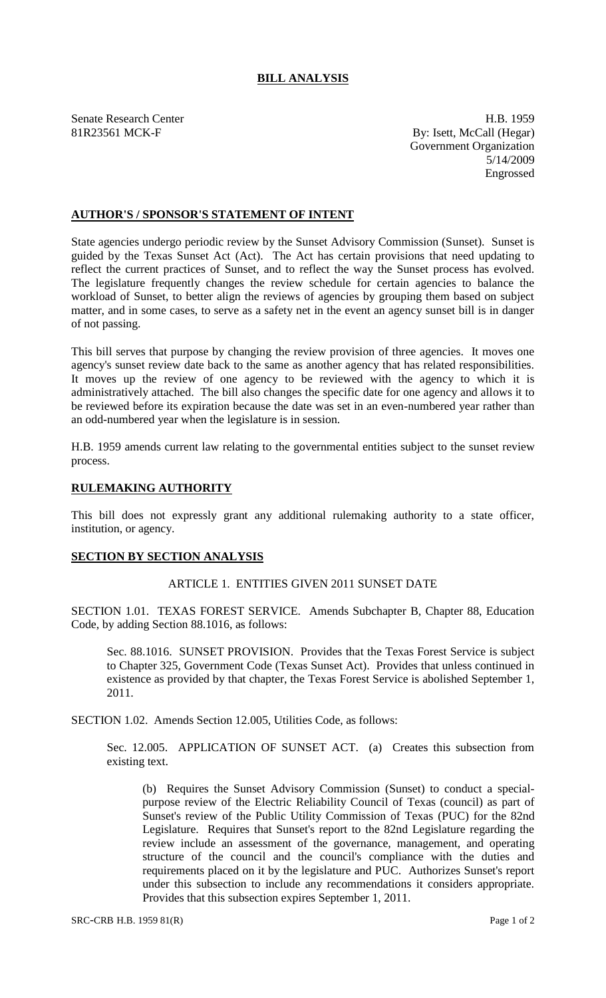# **BILL ANALYSIS**

Senate Research Center **H.B. 1959** 81R23561 MCK-F By: Isett, McCall (Hegar) Government Organization 5/14/2009 Engrossed

# **AUTHOR'S / SPONSOR'S STATEMENT OF INTENT**

State agencies undergo periodic review by the Sunset Advisory Commission (Sunset). Sunset is guided by the Texas Sunset Act (Act). The Act has certain provisions that need updating to reflect the current practices of Sunset, and to reflect the way the Sunset process has evolved. The legislature frequently changes the review schedule for certain agencies to balance the workload of Sunset, to better align the reviews of agencies by grouping them based on subject matter, and in some cases, to serve as a safety net in the event an agency sunset bill is in danger of not passing.

This bill serves that purpose by changing the review provision of three agencies. It moves one agency's sunset review date back to the same as another agency that has related responsibilities. It moves up the review of one agency to be reviewed with the agency to which it is administratively attached. The bill also changes the specific date for one agency and allows it to be reviewed before its expiration because the date was set in an even-numbered year rather than an odd-numbered year when the legislature is in session.

H.B. 1959 amends current law relating to the governmental entities subject to the sunset review process.

## **RULEMAKING AUTHORITY**

This bill does not expressly grant any additional rulemaking authority to a state officer, institution, or agency.

#### **SECTION BY SECTION ANALYSIS**

### ARTICLE 1. ENTITIES GIVEN 2011 SUNSET DATE

SECTION 1.01. TEXAS FOREST SERVICE. Amends Subchapter B, Chapter 88, Education Code, by adding Section 88.1016, as follows:

Sec. 88.1016. SUNSET PROVISION. Provides that the Texas Forest Service is subject to Chapter 325, Government Code (Texas Sunset Act). Provides that unless continued in existence as provided by that chapter, the Texas Forest Service is abolished September 1, 2011.

SECTION 1.02. Amends Section 12.005, Utilities Code, as follows:

Sec. 12.005. APPLICATION OF SUNSET ACT. (a) Creates this subsection from existing text.

(b) Requires the Sunset Advisory Commission (Sunset) to conduct a specialpurpose review of the Electric Reliability Council of Texas (council) as part of Sunset's review of the Public Utility Commission of Texas (PUC) for the 82nd Legislature. Requires that Sunset's report to the 82nd Legislature regarding the review include an assessment of the governance, management, and operating structure of the council and the council's compliance with the duties and requirements placed on it by the legislature and PUC. Authorizes Sunset's report under this subsection to include any recommendations it considers appropriate. Provides that this subsection expires September 1, 2011.